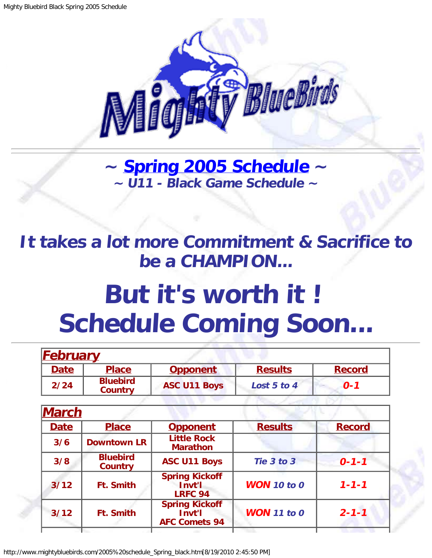

**~ [Spring 2005 Schedule](#page-0-0) ~ ~ U11 - Black Game Schedule ~**

<span id="page-0-1"></span>**It takes a lot more Commitment & Sacrifice to be a CHAMPION...**

## **But it's worth it ! Schedule Coming Soon...**

<span id="page-0-0"></span>

| <b>February</b> |                                   |                                                         |                    |               |
|-----------------|-----------------------------------|---------------------------------------------------------|--------------------|---------------|
| <b>Date</b>     | <b>Place</b>                      | <b>Opponent</b>                                         | <b>Results</b>     | <b>Record</b> |
| 2/24            | <b>Bluebird</b><br><b>Country</b> | <b>ASC U11 Boys</b>                                     | Lost 5 to 4        | $O - 1$       |
|                 |                                   |                                                         |                    |               |
| March           |                                   |                                                         |                    |               |
| <b>Date</b>     | <b>Place</b>                      | <b>Opponent</b>                                         | <b>Results</b>     | <b>Record</b> |
| 3/6             | <b>Downtown LR</b>                | <b>Little Rock</b><br><b>Marathon</b>                   |                    |               |
| 3/8             | <b>Bluebird</b><br><b>Country</b> | <b>ASC U11 Boys</b>                                     | Tie 3 to 3         | $0 - 1 - 1$   |
| 3/12            | <b>Ft. Smith</b>                  | <b>Spring Kickoff</b><br>Invt'l<br><b>LRFC 94</b>       | <b>WON</b> 10 to 0 | $1 - 1 - 1$   |
| $3/12$          | <b>Ft. Smith</b>                  | <b>Spring Kickoff</b><br>Invt'l<br><b>AFC Comets 94</b> | <b>WON</b> 11 to 0 | $2 - 1 - 1$   |

http://www.mightybluebirds.com/2005%20schedule\_Spring\_black.htm[8/19/2010 2:45:50 PM]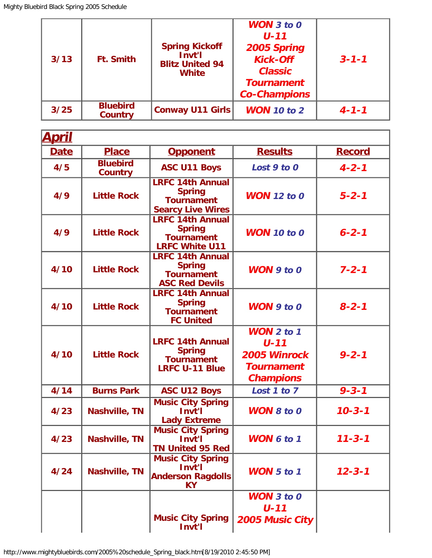| 3/13 | <b>Ft. Smith</b>                  | <b>Spring Kickoff</b><br>Invt'l<br><b>Blitz United 94</b><br><b>White</b> | <b>WON</b> $3$ to $0$<br>$U - 11$<br>2005 Spring<br><b>Kick-Off</b><br><b>Classic</b><br><b>Tournament</b><br><b>Co-Champions</b> | $3 - 1 - 1$ |
|------|-----------------------------------|---------------------------------------------------------------------------|-----------------------------------------------------------------------------------------------------------------------------------|-------------|
| 3/25 | <b>Bluebird</b><br><b>Country</b> | Conway U11 Girls                                                          | <b>WON</b> 10 to 2                                                                                                                | $4 - 1 - 1$ |

| <u>April</u> |                                   |                                                                                           |                                                                                   |               |
|--------------|-----------------------------------|-------------------------------------------------------------------------------------------|-----------------------------------------------------------------------------------|---------------|
| <b>Date</b>  | <b>Place</b>                      | <b>Opponent</b>                                                                           | <b>Results</b>                                                                    | <b>Record</b> |
| 4/5          | <b>Bluebird</b><br><b>Country</b> | <b>ASC U11 Boys</b>                                                                       | Lost 9 to 0                                                                       | $4 - 2 - 1$   |
| 4/9          | <b>Little Rock</b>                | <b>LRFC 14th Annual</b><br><b>Spring</b><br><b>Tournament</b><br><b>Searcy Live Wires</b> | <b>WON</b> 12 to 0                                                                | $5 - 2 - 1$   |
| 4/9          | <b>Little Rock</b>                | <b>LRFC 14th Annual</b><br><b>Spring</b><br><b>Tournament</b><br><b>LRFC White U11</b>    | <b>WON</b> 10 to 0                                                                | $6 - 2 - 1$   |
| 4/10         | <b>Little Rock</b>                | <b>LRFC 14th Annual</b><br><b>Spring</b><br><b>Tournament</b><br><b>ASC Red Devils</b>    | $WON$ 9 to 0                                                                      | $7 - 2 - 1$   |
| 4/10         | <b>Little Rock</b>                | <b>LRFC 14th Annual</b><br><b>Spring</b><br><b>Tournament</b><br><b>FC United</b>         | $WON$ 9 to 0                                                                      | $8 - 2 - 1$   |
| 4/10         | <b>Little Rock</b>                | <b>LRFC 14th Annual</b><br><b>Spring</b><br><b>Tournament</b><br><b>LRFC U-11 Blue</b>    | $WON$ 2 to 1<br>$U - 11$<br>2005 Winrock<br><b>Tournament</b><br><b>Champions</b> | $9 - 2 - 1$   |
| 4/14         | <b>Burns Park</b>                 | <b>ASC U12 Boys</b>                                                                       | Lost 1 to 7                                                                       | $9 - 3 - 1$   |
| 4/23         | <b>Nashville, TN</b>              | <b>Music City Spring</b><br>Invt'l<br><b>Lady Extreme</b>                                 | <b>WON 8 to 0</b>                                                                 | $10 - 3 - 1$  |
| 4/23         | Nashville, TN                     | <b>Music City Spring</b><br>Invt'l<br><b>TN United 95 Red</b>                             | <b>WON 6 to 1</b>                                                                 | $11 - 3 - 1$  |
| 4/24         | Nashville, TN                     | <b>Music City Spring</b><br>Invt'l<br><b>Anderson Ragdolls</b><br><b>KY</b>               | <b>WON</b> 5 to 1                                                                 | $12 - 3 - 1$  |
|              |                                   | <b>Music City Spring</b><br>Invt'l                                                        | <b>WON</b> 3 to 0<br>$U - 11$<br>2005 Music City                                  |               |